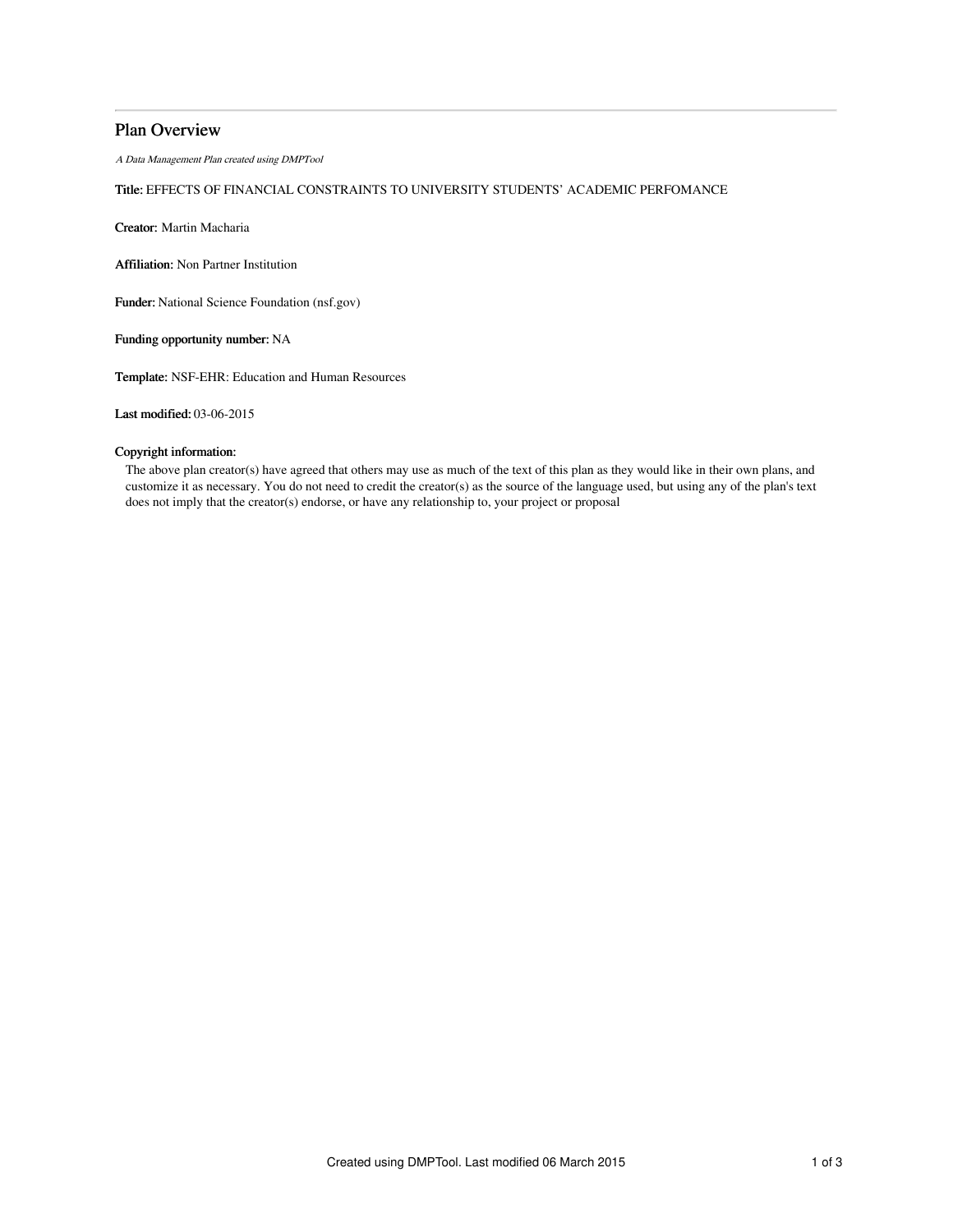## Plan Overview

A Data Management Plan created using DMPTool

## Title: EFFECTS OF FINANCIAL CONSTRAINTS TO UNIVERSITY STUDENTS' ACADEMIC PERFOMANCE

Creator: Martin Macharia

Affiliation: Non Partner Institution

Funder: National Science Foundation (nsf.gov)

Funding opportunity number: NA

Template: NSF-EHR: Education and Human Resources

Last modified: 03-06-2015

### Copyright information:

The above plan creator(s) have agreed that others may use as much of the text of this plan as they would like in their own plans, and customize it as necessary. You do not need to credit the creator(s) as the source of the language used, but using any of the plan's text does not imply that the creator(s) endorse, or have any relationship to, your project or proposal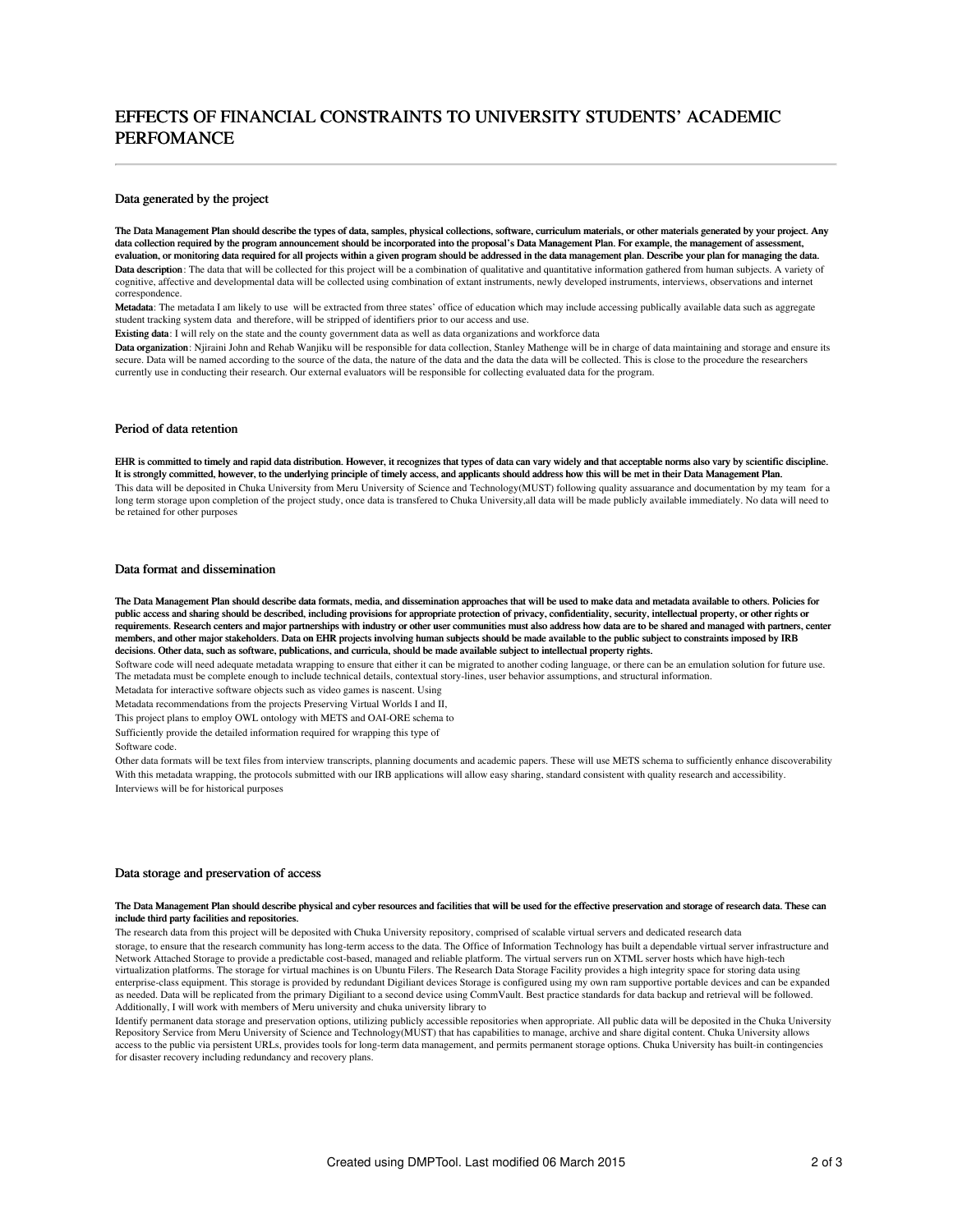# EFFECTS OF FINANCIAL CONSTRAINTS TO UNIVERSITY STUDENTS' ACADEMIC PERFOMANCE

#### Data generated by the project

The Data Management Plan should describe the types of data, samples, physical collections, software, curriculum materials, or other materials generated by your project. Any data collection required by the program announcement should be incorporated into the proposal's Data Management Plan. For example, the management of assessment, evaluation, or monitoring data required for all projects within a given program should be addressed in the data management plan. Describe your plan for managing the data. Data description: The data that will be collected for this project will be a combination of qualitative and quantitative information gathered from human subjects. A variety of cognitive, affective and developmental data will be collected using combination of extant instruments, newly developed instruments, interviews, observations and internet correspondence.

Metadata: The metadata I am likely to use will be extracted from three states' office of education which may include accessing publically available data such as aggregate student tracking system data and therefore, will be stripped of identifiers prior to our access and use.

Existing data: I will rely on the state and the county government data as well as data organizations and workforce data

Data organization: Niiraini John and Rehab Wanjiku will be responsible for data collection. Stanley Mathenge will be in charge of data maintaining and storage and ensure its secure. Data will be named according to the source of the data, the nature of the data and the data the data will be collected. This is close to the procedure the researchers currently use in conducting their research. Our external evaluators will be responsible for collecting evaluated data for the program.

### Period of data retention

EHR is committed to timely and rapid data distribution. However, it recognizes that types of data can vary widely and that acceptable norms also vary by scientific discipline. It is strongly committed, however, to the underlying principle of timely access, and applicants should address how this will be met in their Data Management Plan. This data will be deposited in Chuka University from Meru University of Science and Technology(MUST) following quality assuarance and documentation by my team for a long term storage upon completion of the project study, once data is transfered to Chuka University, all data will be made publicly available immediately. No data will need to be retained for other purposes

#### Data format and dissemination

The Data Management Plan should describe data formats, media, and dissemination approaches that will be used to make data and metadata available to others. Policies for public access and sharing should be described, including provisions for appropriate protection of privacy, confidentiality, security, intellectual property, or other rights or requirements. Research centers and major partnerships with industry or other user communities must also address how data are to be shared and managed with partners, center members, and other major stakeholders. Data on EHR projects involving human subjects should be made available to the public subject to constraints imposed by IRB decisions. Other data, such as software, publications, and curricula, should be made available subject to intellectual property rights.

Software code will need adequate metadata wrapping to ensure that either it can be migrated to another coding language, or there can be an emulation solution for future use. The metadata must be complete enough to include technical details, contextual story-lines, user behavior assumptions, and structural information.

Metadata for interactive software objects such as video games is nascent. Using

Metadata recommendations from the projects Preserving Virtual Worlds I and II,

This project plans to employ OWL ontology with METS and OAI-ORE schema to

Sufficiently provide the detailed information required for wrapping this type of

Software code.

Other data formats will be text files from interview transcripts, planning documents and academic papers. These will use METS schema to sufficiently enhance discoverability With this metadata wrapping, the protocols submitted with our IRB applications will allow easy sharing, standard consistent with quality research and accessibility. Interviews will be for historical purposes

#### Data storage and preservation of access

#### The Data Management Plan should describe physical and cyber resources and facilities that will be used for the effective preservation and storage of research data. These can include third party facilities and repositories.

The research data from this project will be deposited with Chuka University repository, comprised of scalable virtual servers and dedicated research data storage, to ensure that the research community has long-term access to the data. The Office of Information Technology has built a dependable virtual server infrastructure and Network Attached Storage to provide a predictable cost-based, managed and reliable platform. The virtual servers run on XTML server hosts which have high-tech virtualization platforms. The storage for virtual machines is on Ubuntu Filers. The Research Data Storage Facility provides a high integrity space for storing data using enterprise-class equipment. This storage is provided by redundant Digiliant devices Storage is configured using my own ram supportive portable devices and can be expanded as needed. Data will be replicated from the primary Digiliant to a second device using CommVault. Best practice standards for data backup and retrieval will be followed. Additionally, I will work with members of Meru university and chuka university library to

Identify permanent data storage and preservation options, utilizing publicly accessible repositories when appropriate. All public data will be deposited in the Chuka University Repository Service from Meru University of Science and Technology(MUST) that has capabilities to manage, archive and share digital content. Chuka University allows access to the public via persistent URLs, provides tools for long-term data management, and permits permanent storage options. Chuka University has built-in contingencies for disaster recovery including redundancy and recovery plans.